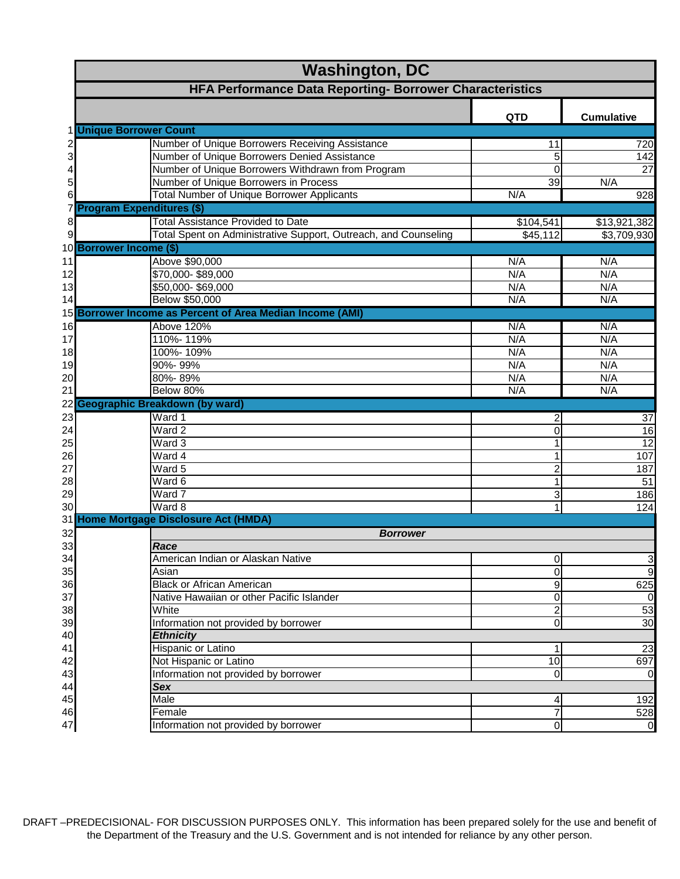|    | <b>Washington, DC</b>                                           |                         |                   |  |
|----|-----------------------------------------------------------------|-------------------------|-------------------|--|
|    | HFA Performance Data Reporting- Borrower Characteristics        |                         |                   |  |
|    |                                                                 | <b>QTD</b>              | <b>Cumulative</b> |  |
|    | 1 Unique Borrower Count                                         |                         |                   |  |
|    | Number of Unique Borrowers Receiving Assistance                 | 11                      | 720               |  |
|    | Number of Unique Borrowers Denied Assistance                    | 5                       | 142               |  |
|    | Number of Unique Borrowers Withdrawn from Program               | $\Omega$                | $\overline{27}$   |  |
| 5  | Number of Unique Borrowers in Process                           | 39                      | N/A               |  |
| 6  | <b>Total Number of Unique Borrower Applicants</b>               | N/A                     | 928               |  |
|    | 7 Program Expenditures (\$)                                     |                         |                   |  |
| 8  | <b>Total Assistance Provided to Date</b>                        | \$104,541               | \$13,921,382      |  |
| 9  | Total Spent on Administrative Support, Outreach, and Counseling | \$45,112                | \$3,709,930       |  |
|    | 10 Borrower Income (\$)                                         |                         |                   |  |
| 11 | Above \$90,000                                                  | N/A                     | N/A               |  |
| 12 | \$70,000-\$89,000                                               | N/A                     | N/A               |  |
| 13 | \$50,000-\$69,000                                               | N/A                     | N/A               |  |
| 14 | Below \$50,000                                                  | N/A                     | N/A               |  |
| 15 | <b>Borrower Income as Percent of Area Median Income (AMI)</b>   |                         |                   |  |
| 16 | Above 120%                                                      | N/A                     | N/A               |  |
| 17 | 110%-119%                                                       | N/A                     | N/A               |  |
| 18 | 100%-109%                                                       | N/A                     | N/A               |  |
| 19 | 90%-99%                                                         | N/A                     | N/A               |  |
| 20 | 80%-89%                                                         | N/A                     | N/A               |  |
| 21 | Below 80%                                                       | N/A                     | N/A               |  |
| 22 | <b>Geographic Breakdown (by ward)</b>                           |                         |                   |  |
| 23 | Ward 1                                                          | 2                       | 37                |  |
| 24 | Ward 2                                                          | 0                       | 16                |  |
| 25 | Ward 3                                                          | 1                       | $\overline{12}$   |  |
| 26 | Ward 4                                                          | 1                       | 107               |  |
| 27 | Ward 5                                                          | $\overline{c}$          | 187               |  |
| 28 | Ward 6                                                          | 1                       | 51                |  |
| 29 | Ward 7                                                          | 3                       | 186               |  |
| 30 | Ward 8                                                          | 1                       | 124               |  |
|    | 31 Home Mortgage Disclosure Act (HMDA)                          |                         |                   |  |
| 32 | <b>Borrower</b>                                                 |                         |                   |  |
| 33 | Race                                                            |                         |                   |  |
| 34 | American Indian or Alaskan Native                               | $\mathbf 0$             | $\mathbf{3}$      |  |
| 35 | Asian                                                           | 0                       | $\overline{9}$    |  |
| 36 | <b>Black or African American</b>                                | $\overline{9}$          | 625               |  |
| 37 | Native Hawaiian or other Pacific Islander                       | $\,0\,$                 | $\overline{0}$    |  |
| 38 | White                                                           | $\overline{\mathbf{c}}$ | 53                |  |
| 39 | Information not provided by borrower                            | $\overline{0}$          | 30                |  |
| 40 | <b>Ethnicity</b>                                                |                         |                   |  |
| 41 | Hispanic or Latino                                              | 1                       | 23                |  |
| 42 | Not Hispanic or Latino                                          | 10                      | 697               |  |
| 43 | Information not provided by borrower                            | 0                       | $\overline{0}$    |  |
| 44 | Sex                                                             |                         |                   |  |
| 45 | <b>Male</b>                                                     | 4                       | 192               |  |
| 46 | Female                                                          | $\overline{7}$          | 528               |  |
| 47 | Information not provided by borrower                            | $\pmb{0}$               | $\overline{0}$    |  |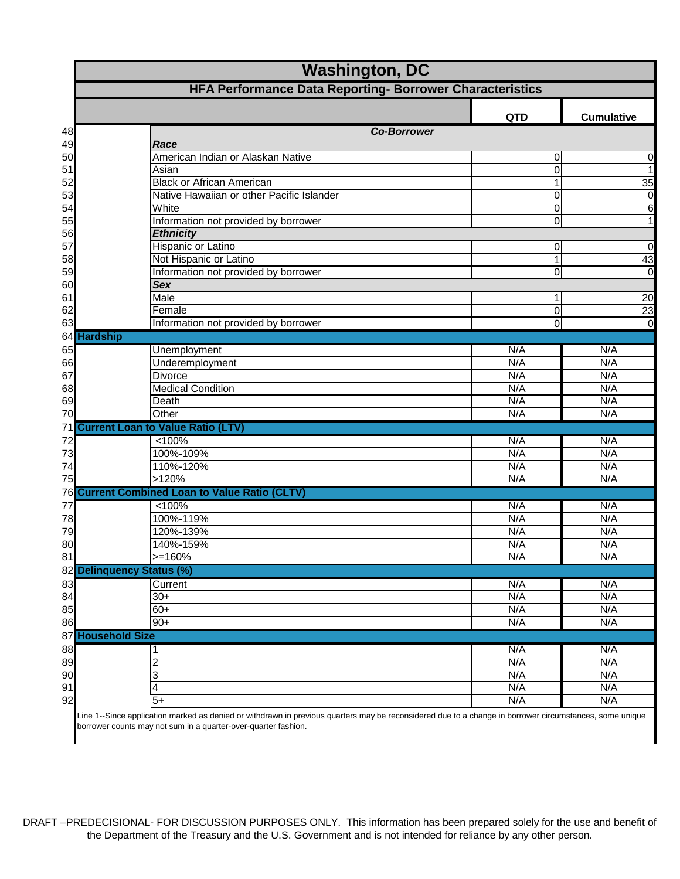|    | <b>Washington, DC</b>                                                                                           |                   |  |  |
|----|-----------------------------------------------------------------------------------------------------------------|-------------------|--|--|
|    | HFA Performance Data Reporting- Borrower Characteristics                                                        |                   |  |  |
|    | <b>QTD</b>                                                                                                      | <b>Cumulative</b> |  |  |
| 48 | <b>Co-Borrower</b>                                                                                              |                   |  |  |
| 49 | Race                                                                                                            |                   |  |  |
| 50 | American Indian or Alaskan Native<br>0                                                                          | 0                 |  |  |
| 51 | 0<br>Asian                                                                                                      | $\overline{1}$    |  |  |
| 52 | <b>Black or African American</b><br>$\mathbf{1}$                                                                | 35                |  |  |
| 53 | Native Hawaiian or other Pacific Islander<br>$\overline{0}$                                                     | $\boldsymbol{0}$  |  |  |
| 54 | White<br>$\boldsymbol{0}$                                                                                       | 6                 |  |  |
| 55 | Information not provided by borrower<br>0                                                                       | $\overline{1}$    |  |  |
| 56 | <b>Ethnicity</b>                                                                                                |                   |  |  |
| 57 | <b>Hispanic or Latino</b><br>0                                                                                  | $\mathbf 0$       |  |  |
| 58 | Not Hispanic or Latino<br>$\mathbf{1}$                                                                          | 43                |  |  |
| 59 | Information not provided by borrower<br>0                                                                       | $\overline{0}$    |  |  |
| 60 | <b>Sex</b>                                                                                                      |                   |  |  |
| 61 | Male<br>1                                                                                                       | 20                |  |  |
| 62 | Female<br>0                                                                                                     | 23                |  |  |
| 63 | Information not provided by borrower<br>0                                                                       | $\overline{0}$    |  |  |
|    | 64 Hardship                                                                                                     |                   |  |  |
| 65 | Unemployment<br>N/A                                                                                             | N/A               |  |  |
| 66 | N/A<br>Underemployment                                                                                          | N/A               |  |  |
| 67 | N/A<br><b>Divorce</b>                                                                                           | N/A               |  |  |
| 68 | <b>Medical Condition</b><br>N/A                                                                                 | N/A               |  |  |
| 69 | N/A<br>Death                                                                                                    | N/A               |  |  |
| 70 | Other<br>N/A                                                                                                    | N/A               |  |  |
|    | 71 Current Loan to Value Ratio (LTV)                                                                            |                   |  |  |
| 72 | < 100%<br>N/A                                                                                                   | N/A               |  |  |
| 73 | 100%-109%<br>N/A                                                                                                | N/A               |  |  |
| 74 | 110%-120%<br>N/A                                                                                                | N/A               |  |  |
| 75 | >120%<br>N/A                                                                                                    | N/A               |  |  |
|    | 76 Current Combined Loan to Value Ratio (CLTV)                                                                  |                   |  |  |
| 77 | < 100%<br>N/A                                                                                                   | N/A               |  |  |
| 78 | 100%-119%<br>N/A                                                                                                | N/A               |  |  |
| 79 | 120%-139%<br>N/A                                                                                                | N/A               |  |  |
| 80 | N/A<br>140%-159%                                                                                                | N/A               |  |  |
| 81 | $>=160%$<br>N/A                                                                                                 | N/A               |  |  |
|    | 82 Delinquency Status (%)                                                                                       |                   |  |  |
| 83 | N/A<br>Current                                                                                                  | N/A               |  |  |
| 84 | N/A<br>$30+$                                                                                                    | N/A               |  |  |
| 85 | $60+$<br>N/A                                                                                                    | N/A               |  |  |
| 86 | N/A<br>90+                                                                                                      | N/A               |  |  |
|    | 87 Household Size                                                                                               |                   |  |  |
| 88 | N/A                                                                                                             | N/A               |  |  |
| 89 | N/A                                                                                                             | N/A               |  |  |
| 90 | N/A<br>3                                                                                                        | N/A               |  |  |
| 91 | N/A<br>4                                                                                                        | N/A               |  |  |
| 92 | $5+$<br>N/A                                                                                                     | N/A               |  |  |
|    | application marked as denied or withdrawn in previous<br>reconsidered due to a change in borrower sircumstances | como unique       |  |  |

e 1--Since application marked as denied or withdrawn in previous quarters may be reconsidered due to a change in borrower circumstances, some uniqi borrower counts may not sum in a quarter-over-quarter fashion.

DRAFT –PREDECISIONAL- FOR DISCUSSION PURPOSES ONLY. This information has been prepared solely for the use and benefit of the Department of the Treasury and the U.S. Government and is not intended for reliance by any other person.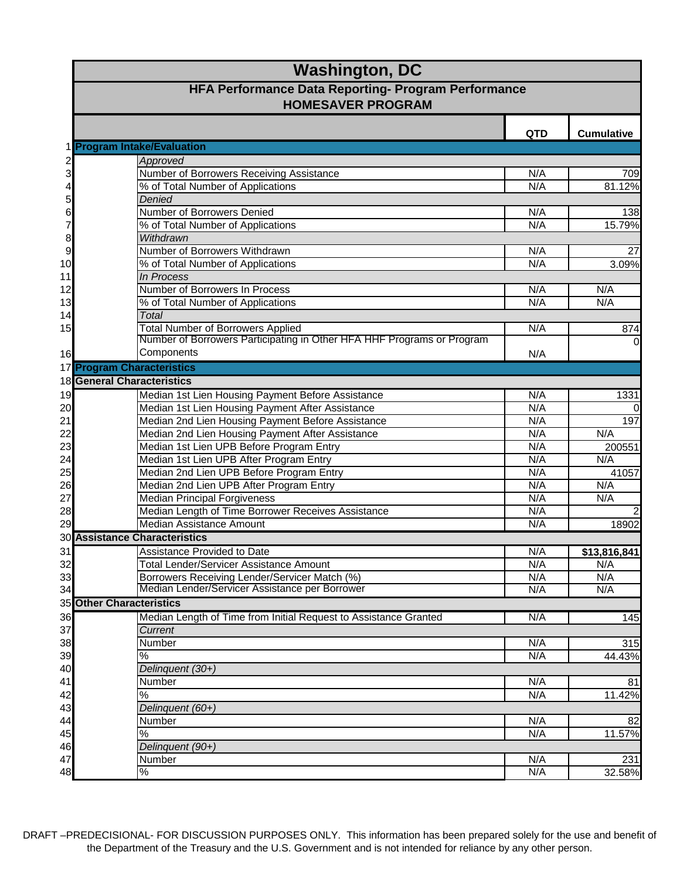|                         | <b>Washington, DC</b>                                                               |            |                     |
|-------------------------|-------------------------------------------------------------------------------------|------------|---------------------|
|                         | HFA Performance Data Reporting- Program Performance<br><b>HOMESAVER PROGRAM</b>     |            |                     |
|                         |                                                                                     | <b>QTD</b> | <b>Cumulative</b>   |
|                         | <b>Program Intake/Evaluation</b>                                                    |            |                     |
| $\overline{\mathbf{c}}$ | Approved                                                                            |            |                     |
| 3                       | Number of Borrowers Receiving Assistance                                            | N/A        | 709                 |
| 4                       | % of Total Number of Applications                                                   | N/A        | 81.12%              |
| 5                       | Denied                                                                              |            |                     |
| 6                       | Number of Borrowers Denied                                                          | N/A        | 138                 |
| $\overline{7}$          | % of Total Number of Applications                                                   | N/A        | 15.79%              |
| 8                       | Withdrawn                                                                           |            |                     |
| 9                       | Number of Borrowers Withdrawn                                                       | N/A        | 27                  |
| 10                      | % of Total Number of Applications                                                   | N/A        | 3.09%               |
| 11                      | In Process<br>Number of Borrowers In Process                                        |            |                     |
| 12                      |                                                                                     | N/A<br>N/A | N/A<br>N/A          |
| 13                      | % of Total Number of Applications<br><b>Total</b>                                   |            |                     |
| 14                      | <b>Total Number of Borrowers Applied</b>                                            | N/A        |                     |
| 15                      | Number of Borrowers Participating in Other HFA HHF Programs or Program              |            | 874                 |
| 16                      | Components                                                                          | N/A        | $\overline{0}$      |
|                         | 17 Program Characteristics                                                          |            |                     |
|                         | <b>18 General Characteristics</b>                                                   |            |                     |
|                         |                                                                                     |            |                     |
| 19                      | Median 1st Lien Housing Payment Before Assistance                                   | N/A        | 1331                |
| 20                      | Median 1st Lien Housing Payment After Assistance                                    | N/A        | $\mathbf 0$         |
| 21                      | Median 2nd Lien Housing Payment Before Assistance                                   | N/A        | 197                 |
| 22                      | Median 2nd Lien Housing Payment After Assistance                                    | N/A<br>N/A | N/A                 |
| 23                      | Median 1st Lien UPB Before Program Entry                                            | N/A        | 200551              |
| 24<br>25                | Median 1st Lien UPB After Program Entry<br>Median 2nd Lien UPB Before Program Entry | N/A        | N/A<br>41057        |
| 26                      | Median 2nd Lien UPB After Program Entry                                             | N/A        | N/A                 |
| 27                      | <b>Median Principal Forgiveness</b>                                                 | N/A        | N/A                 |
| 28                      | Median Length of Time Borrower Receives Assistance                                  | N/A        | $\overline{c}$      |
| 29                      | Median Assistance Amount                                                            | N/A        | 18902               |
|                         | <b>30 Assistance Characteristics</b>                                                |            |                     |
| 31                      | Assistance Provided to Date                                                         | N/A        |                     |
| 32                      | <b>Total Lender/Servicer Assistance Amount</b>                                      | N/A        | \$13,816,841<br>N/A |
| 33                      | Borrowers Receiving Lender/Servicer Match (%)                                       | N/A        | N/A                 |
| 34                      | Median Lender/Servicer Assistance per Borrower                                      | N/A        | N/A                 |
|                         | <b>35 Other Characteristics</b>                                                     |            |                     |
|                         | Median Length of Time from Initial Request to Assistance Granted                    | N/A        | 145                 |
| 36<br>37                | Current                                                                             |            |                     |
| 38                      | Number                                                                              | N/A        | 315                 |
| 39                      | %                                                                                   | N/A        | 44.43%              |
| 40                      | Delinquent (30+)                                                                    |            |                     |
| 41                      | Number                                                                              | N/A        | 81                  |
| 42                      | %                                                                                   | N/A        | 11.42%              |
| 43                      | Delinquent (60+)                                                                    |            |                     |
| 44                      | Number                                                                              | N/A        | 82                  |
| 45                      | %                                                                                   | N/A        | 11.57%              |
| 46                      | Delinquent (90+)                                                                    |            |                     |
| 47                      | Number                                                                              | N/A        | 231                 |
| 48                      | $\%$                                                                                | N/A        | 32.58%              |
|                         |                                                                                     |            |                     |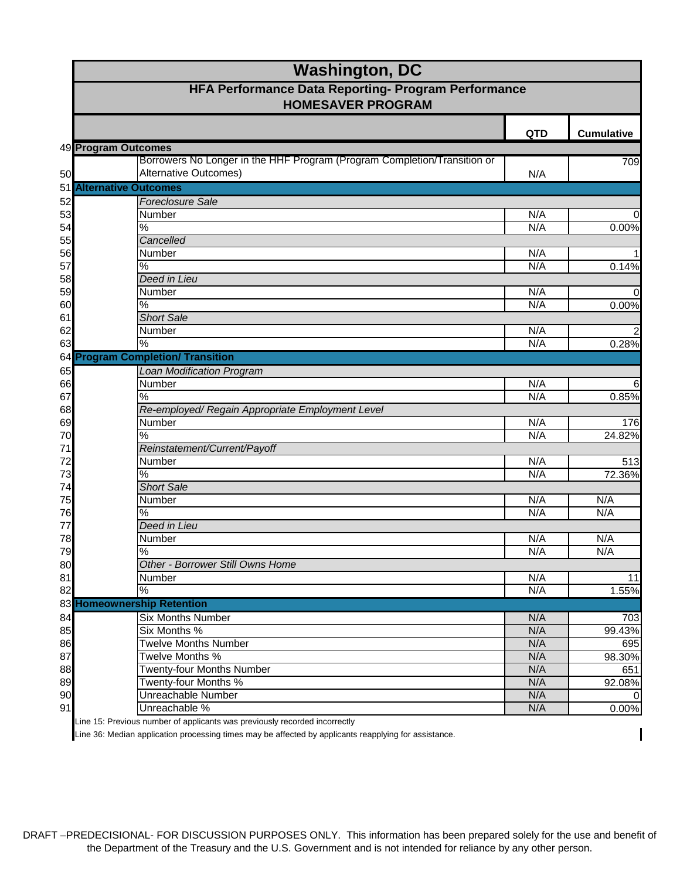|    | <b>Washington, DC</b>                                                                             |            |                   |
|----|---------------------------------------------------------------------------------------------------|------------|-------------------|
|    | HFA Performance Data Reporting- Program Performance<br><b>HOMESAVER PROGRAM</b>                   |            |                   |
|    |                                                                                                   | <b>QTD</b> | <b>Cumulative</b> |
|    | 49 Program Outcomes                                                                               |            |                   |
| 50 | Borrowers No Longer in the HHF Program (Program Completion/Transition or<br>Alternative Outcomes) | N/A        | 709               |
|    | <b>51 Alternative Outcomes</b>                                                                    |            |                   |
| 52 | <b>Foreclosure Sale</b>                                                                           |            |                   |
| 53 | Number                                                                                            | N/A        | $\overline{0}$    |
| 54 | $\%$                                                                                              | N/A        | 0.00%             |
| 55 | Cancelled                                                                                         |            |                   |
| 56 | Number                                                                                            | N/A        | 1                 |
| 57 | %                                                                                                 | N/A        | 0.14%             |
| 58 | Deed in Lieu                                                                                      |            |                   |
| 59 | Number                                                                                            | N/A        | $\overline{0}$    |
| 60 | $\frac{9}{6}$                                                                                     | N/A        | 0.00%             |
| 61 | <b>Short Sale</b>                                                                                 |            |                   |
| 62 | Number                                                                                            | N/A        | $\overline{c}$    |
| 63 | %                                                                                                 | N/A        | 0.28%             |
|    | 64 Program Completion/ Transition                                                                 |            |                   |
| 65 | <b>Loan Modification Program</b>                                                                  |            |                   |
| 66 | Number                                                                                            | N/A        | 6                 |
| 67 | %                                                                                                 | N/A        | 0.85%             |
| 68 | Re-employed/ Regain Appropriate Employment Level                                                  |            |                   |
| 69 | Number                                                                                            | N/A        | 176               |
| 70 | $\frac{9}{6}$                                                                                     | N/A        | 24.82%            |
| 71 | Reinstatement/Current/Payoff                                                                      |            |                   |
| 72 | Number                                                                                            | N/A        | 513               |
| 73 | $\frac{0}{6}$                                                                                     | N/A        | 72.36%            |
| 74 | <b>Short Sale</b>                                                                                 |            |                   |
| 75 | Number                                                                                            | N/A        | N/A               |
| 76 | %                                                                                                 | N/A        | N/A               |
| 77 | Deed in Lieu                                                                                      |            |                   |
| 78 | Number                                                                                            | N/A        | N/A               |
| 79 | $\frac{8}{3}$                                                                                     | N/A        | N/A               |
| 80 | Other - Borrower Still Owns Home                                                                  |            |                   |
| 81 | Number                                                                                            | N/A        | 11                |
| 82 | %                                                                                                 | N/A        | 1.55%             |
|    | 83 Homeownership Retention                                                                        |            |                   |
| 84 | <b>Six Months Number</b>                                                                          | N/A        | 703               |
| 85 | Six Months %                                                                                      | N/A        | 99.43%            |
| 86 | <b>Twelve Months Number</b>                                                                       | N/A        | 695               |
| 87 | Twelve Months %                                                                                   | N/A        | 98.30%            |
| 88 | <b>Twenty-four Months Number</b>                                                                  | N/A        | 651               |
| 89 | Twenty-four Months %                                                                              | N/A        | 92.08%            |
| 90 | Unreachable Number                                                                                | N/A        | $\Omega$          |
| 91 | Unreachable %                                                                                     | N/A        | 0.00%             |

Line 15: Previous number of applicants was previously recorded incorrectly

Line 36: Median application processing times may be affected by applicants reapplying for assistance.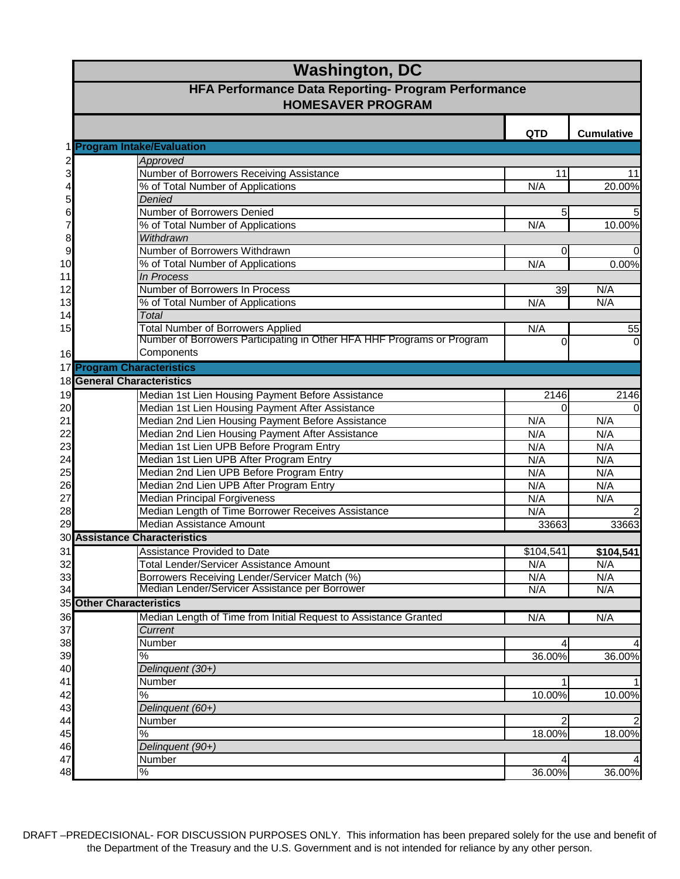|                | <b>Washington, DC</b>                                                                                 |            |                         |
|----------------|-------------------------------------------------------------------------------------------------------|------------|-------------------------|
|                | <b>HFA Performance Data Reporting- Program Performance</b><br><b>HOMESAVER PROGRAM</b>                |            |                         |
|                |                                                                                                       | <b>QTD</b> | <b>Cumulative</b>       |
|                | 1 Program Intake/Evaluation                                                                           |            |                         |
| 2<br>3         | Approved                                                                                              |            |                         |
|                | Number of Borrowers Receiving Assistance                                                              | 11         | 11                      |
| 4              | % of Total Number of Applications                                                                     | N/A        | 20.00%                  |
| 5              | Denied                                                                                                |            |                         |
| 6              | Number of Borrowers Denied                                                                            | 5          | 5                       |
| $\overline{7}$ | % of Total Number of Applications                                                                     | N/A        | 10.00%                  |
| 8              | Withdrawn                                                                                             |            |                         |
| $\overline{9}$ | Number of Borrowers Withdrawn                                                                         | $\Omega$   | $\mathbf 0$             |
| 10             | % of Total Number of Applications                                                                     | N/A        | 0.00%                   |
| 11             | In Process<br>Number of Borrowers In Process                                                          |            |                         |
| 12<br>13       | % of Total Number of Applications                                                                     | 39<br>N/A  | N/A<br>N/A              |
|                | <b>Total</b>                                                                                          |            |                         |
| 14<br>15       | <b>Total Number of Borrowers Applied</b>                                                              | N/A        |                         |
|                | Number of Borrowers Participating in Other HFA HHF Programs or Program                                | $\Omega$   | 55<br>0                 |
| 16             | Components                                                                                            |            |                         |
|                | 17 Program Characteristics                                                                            |            |                         |
|                | <b>18 General Characteristics</b>                                                                     |            |                         |
|                |                                                                                                       | 2146       |                         |
| 19             | Median 1st Lien Housing Payment Before Assistance<br>Median 1st Lien Housing Payment After Assistance | $\Omega$   | 2146<br>$\mathbf 0$     |
| 20<br>21       | Median 2nd Lien Housing Payment Before Assistance                                                     | N/A        | N/A                     |
| 22             | Median 2nd Lien Housing Payment After Assistance                                                      | N/A        | N/A                     |
| 23             | Median 1st Lien UPB Before Program Entry                                                              | N/A        | N/A                     |
| 24             | Median 1st Lien UPB After Program Entry                                                               | N/A        | N/A                     |
| 25             | Median 2nd Lien UPB Before Program Entry                                                              | N/A        | N/A                     |
| 26             | Median 2nd Lien UPB After Program Entry                                                               | N/A        | N/A                     |
| 27             | <b>Median Principal Forgiveness</b>                                                                   | N/A        | N/A                     |
| 28             | Median Length of Time Borrower Receives Assistance                                                    | N/A        | $\overline{\mathbf{c}}$ |
| 29             | <b>Median Assistance Amount</b>                                                                       | 33663      | 33663                   |
|                | <b>30 Assistance Characteristics</b>                                                                  |            |                         |
| 31             | <b>Assistance Provided to Date</b>                                                                    | \$104,541  | \$104,541               |
| 32             | Total Lender/Servicer Assistance Amount                                                               | N/A        | N/A                     |
| 33             | Borrowers Receiving Lender/Servicer Match (%)                                                         | N/A        | N/A                     |
| 34             | Median Lender/Servicer Assistance per Borrower                                                        | N/A        | N/A                     |
|                | 35 Other Characteristics                                                                              |            |                         |
| 36             | Median Length of Time from Initial Request to Assistance Granted                                      | N/A        | N/A                     |
| 37             | Current                                                                                               |            |                         |
| 38             | Number                                                                                                |            | 4                       |
| 39             | %                                                                                                     | 36.00%     | 36.00%                  |
| 40             | Delinquent (30+)                                                                                      |            |                         |
| 41             | Number                                                                                                |            | 1                       |
| 42             | %                                                                                                     | 10.00%     | 10.00%                  |
| 43             | Delinquent (60+)                                                                                      |            |                         |
| 44             | Number                                                                                                |            | $\overline{c}$          |
| 45             | $\%$                                                                                                  | 18.00%     | 18.00%                  |
| 46             | Delinquent (90+)                                                                                      |            |                         |
| 47             | Number                                                                                                |            | 4                       |
| 48             | $\%$                                                                                                  | 36.00%     | 36.00%                  |